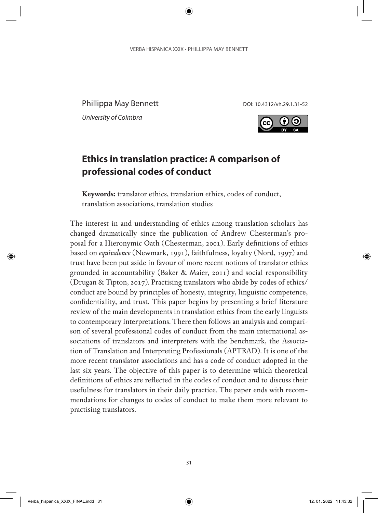Phillippa May Bennett DOI: 10.4312/vh.29.1.31-52

*University of Coimbra*



# **Ethics in translation practice: A comparison of professional codes of conduct**

**Keywords:** translator ethics, translation ethics, codes of conduct, translation associations, translation studies

The interest in and understanding of ethics among translation scholars has changed dramatically since the publication of Andrew Chesterman's proposal for a Hieronymic Oath (Chesterman, 2001). Early definitions of ethics based on *equivalence* (Newmark, 1991), faithfulness, loyalty (Nord, 1997) and trust have been put aside in favour of more recent notions of translator ethics grounded in accountability (Baker & Maier, 2011) and social responsibility (Drugan & Tipton, 2017). Practising translators who abide by codes of ethics/ conduct are bound by principles of honesty, integrity, linguistic competence, confidentiality, and trust. This paper begins by presenting a brief literature review of the main developments in translation ethics from the early linguists to contemporary interpretations. There then follows an analysis and comparison of several professional codes of conduct from the main international associations of translators and interpreters with the benchmark, the Association of Translation and Interpreting Professionals (APTRAD). It is one of the more recent translator associations and has a code of conduct adopted in the last six years. The objective of this paper is to determine which theoretical definitions of ethics are reflected in the codes of conduct and to discuss their usefulness for translators in their daily practice. The paper ends with recommendations for changes to codes of conduct to make them more relevant to practising translators.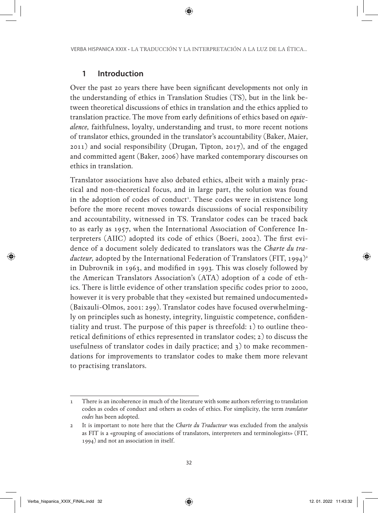## **1 Introduction**

Over the past 20 years there have been significant developments not only in the understanding of ethics in Translation Studies (TS), but in the link between theoretical discussions of ethics in translation and the ethics applied to translation practice. The move from early definitions of ethics based on *equivalence,* faithfulness, loyalty, understanding and trust, to more recent notions of translator ethics, grounded in the translator's accountability (Baker, Maier, 2011) and social responsibility (Drugan, Tipton, 2017), and of the engaged and committed agent (Baker, 2006) have marked contemporary discourses on ethics in translation.

Translator associations have also debated ethics, albeit with a mainly practical and non-theoretical focus, and in large part, the solution was found in the adoption of codes of conduct<sup>1</sup>. These codes were in existence long before the more recent moves towards discussions of social responsibility and accountability, witnessed in TS. Translator codes can be traced back to as early as 1957, when the International Association of Conference Interpreters (AIIC) adopted its code of ethics (Boeri, 2002). The first evidence of a document solely dedicated to translators was the *Charte du traducteur*, adopted by the International Federation of Translators (FIT, 1994)<sup>2</sup> in Dubrovnik in 1963, and modified in 1993. This was closely followed by the American Translators Association's (ATA) adoption of a code of ethics. There is little evidence of other translation specific codes prior to 2000, however it is very probable that they «existed but remained undocumented» (Baixauli-Olmos, 2001: 299). Translator codes have focused overwhelmingly on principles such as honesty, integrity, linguistic competence, confidentiality and trust. The purpose of this paper is threefold: 1) to outline theoretical definitions of ethics represented in translator codes; 2) to discuss the usefulness of translator codes in daily practice; and 3) to make recommendations for improvements to translator codes to make them more relevant to practising translators.

<sup>1</sup> There is an incoherence in much of the literature with some authors referring to translation codes as codes of conduct and others as codes of ethics. For simplicity, the term *translator codes* has been adopted.

<sup>2</sup> It is important to note here that the *Charte du Traducteur* was excluded from the analysis as FIT is a «grouping of associations of translators, interpreters and terminologists» (FIT, 1994) and not an association in itself.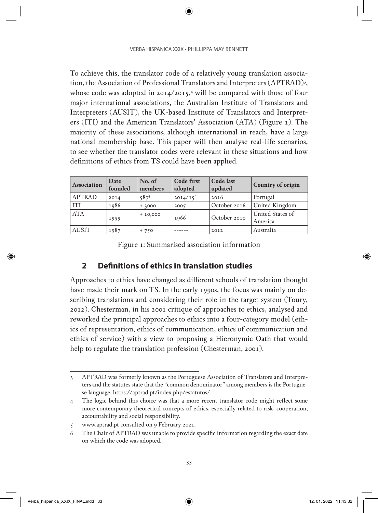To achieve this, the translator code of a relatively young translation association, the Association of Professional Translators and Interpreters (APTRAD)<sup>3</sup>, whose code was adopted in 2014/2015,<sup>4</sup> will be compared with those of four major international associations, the Australian Institute of Translators and Interpreters (AUSIT), the UK-based Institute of Translators and Interpreters (ITI) and the American Translators' Association (ATA) (Figure 1). The majority of these associations, although international in reach, have a large national membership base. This paper will then analyse real-life scenarios, to see whether the translator codes were relevant in these situations and how definitions of ethics from TS could have been applied.

| <b>Association</b> | Date<br>founded | No. of<br>members | <b>Code first</b><br>adopted | <b>Code last</b><br>updated | Country of origin           |
|--------------------|-----------------|-------------------|------------------------------|-----------------------------|-----------------------------|
| APTRAD             | 2014            | $587^5$           | $2014/15^{6}$                | 2016                        | Portugal                    |
| <b>ITI</b>         | 1986            | $+3000$           | 2005                         | October 2016                | United Kingdom              |
| <b>ATA</b>         | 1959            | $+10,000$         | 1966                         | October 2010                | United States of<br>America |
| <b>AUSIT</b>       | 1987            | $+750$            |                              | 2012                        | Australia                   |

Figure 1: Summarised association information

#### **2 Definitions of ethics in translation studies**

Approaches to ethics have changed as different schools of translation thought have made their mark on TS. In the early 1990s, the focus was mainly on describing translations and considering their role in the target system (Toury, 2012). Chesterman, in his 2001 critique of approaches to ethics, analysed and reworked the principal approaches to ethics into a four-category model (ethics of representation, ethics of communication, ethics of communication and ethics of service) with a view to proposing a Hieronymic Oath that would help to regulate the translation profession (Chesterman, 2001).

<sup>3</sup> APTRAD was formerly known as the Portuguese Association of Translators and Interpreters and the statutes state that the "common denominator" among members is the Portuguese language.<https://aptrad.pt/index.php/estatutos/>

<sup>4</sup> The logic behind this choice was that a more recent translator code might reflect some more contemporary theoretical concepts of ethics, especially related to risk, cooperation, accountability and social responsibility.

<sup>5</sup> [www.aptrad.pt](http://www.aptrad.pt) consulted on 9 February 2021.

<sup>6</sup> The Chair of APTRAD was unable to provide specific information regarding the exact date on which the code was adopted.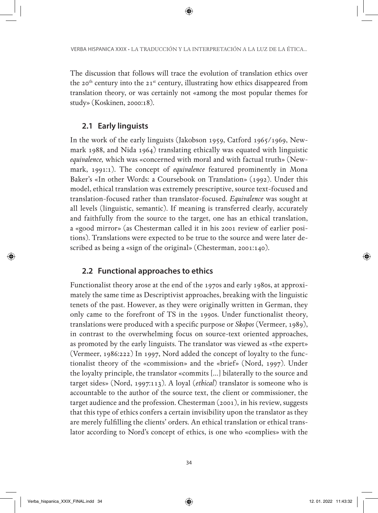The discussion that follows will trace the evolution of translation ethics over the 20<sup>th</sup> century into the 21<sup>st</sup> century, illustrating how ethics disappeared from translation theory, or was certainly not «among the most popular themes for study» (Koskinen, 2000:18).

# **2.1 Early linguists**

In the work of the early linguists (Jakobson 1959, Catford 1965/1969, Newmark 1988, and Nida 1964) translating ethically was equated with linguistic *equivalence,* which was «concerned with moral and with factual truth» (Newmark, 1991:1). The concept of *equivalence* featured prominently in Mona Baker's «In other Words: a Coursebook on Translation» (1992). Under this model, ethical translation was extremely prescriptive, source text-focused and translation-focused rather than translator-focused. *Equivalence* was sought at all levels (linguistic, semantic). If meaning is transferred clearly, accurately and faithfully from the source to the target, one has an ethical translation, a «good mirror» (as Chesterman called it in his 2001 review of earlier positions). Translations were expected to be true to the source and were later described as being a «sign of the original» (Chesterman, 2001:140).

# **2.2 Functional approaches to ethics**

Functionalist theory arose at the end of the 1970s and early 1980s, at approximately the same time as Descriptivist approaches, breaking with the linguistic tenets of the past. However, as they were originally written in German, they only came to the forefront of TS in the 1990s. Under functionalist theory, translations were produced with a specific purpose or *Skopos* (Vermeer, 1989), in contrast to the overwhelming focus on source-text oriented approaches, as promoted by the early linguists. The translator was viewed as «the expert» (Vermeer, 1986:222) In 1997, Nord added the concept of loyalty to the functionalist theory of the «commission» and the «brief» (Nord, 1997). Under the loyalty principle, the translator «commits […] bilaterally to the source and target sides» (Nord, 1997:113). A loyal (*ethical*) translator is someone who is accountable to the author of the source text, the client or commissioner, the target audience and the profession. Chesterman (2001), in his review, suggests that this type of ethics confers a certain invisibility upon the translator as they are merely fulfilling the clients' orders. An ethical translation or ethical translator according to Nord's concept of ethics, is one who «complies» with the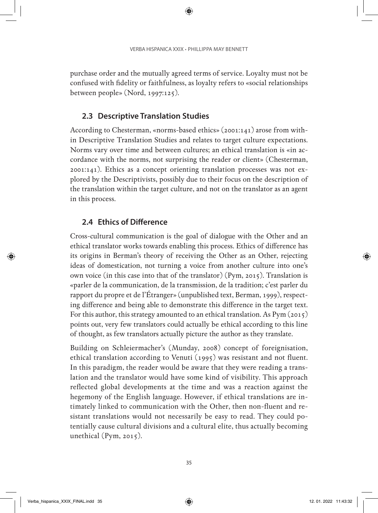purchase order and the mutually agreed terms of service. Loyalty must not be confused with fidelity or faithfulness, as loyalty refers to «social relationships between people» (Nord, 1997:125).

#### **2.3 Descriptive Translation Studies**

According to Chesterman, «norms-based ethics» (2001:141) arose from within Descriptive Translation Studies and relates to target culture expectations. Norms vary over time and between cultures; an ethical translation is «in accordance with the norms, not surprising the reader or client» (Chesterman, 2001:141). Ethics as a concept orienting translation processes was not explored by the Descriptivists, possibly due to their focus on the description of the translation within the target culture, and not on the translator as an agent in this process.

#### **2.4 Ethics of Difference**

Cross-cultural communication is the goal of dialogue with the Other and an ethical translator works towards enabling this process. Ethics of difference has its origins in Berman's theory of receiving the Other as an Other, rejecting ideas of domestication, not turning a voice from another culture into one's own voice (in this case into that of the translator) (Pym, 2015). Translation is «parler de la communication, de la transmission, de la tradition; c'est parler du rapport du propre et de l'Étranger» (unpublished text, Berman, 1999), respecting difference and being able to demonstrate this difference in the target text. For this author, this strategy amounted to an ethical translation. As Pym (2015) points out, very few translators could actually be ethical according to this line of thought, as few translators actually picture the author as they translate.

Building on Schleiermacher's (Munday, 2008) concept of foreignisation, ethical translation according to Venuti (1995) was resistant and not fluent. In this paradigm, the reader would be aware that they were reading a translation and the translator would have some kind of visibility. This approach reflected global developments at the time and was a reaction against the hegemony of the English language. However, if ethical translations are intimately linked to communication with the Other, then non-fluent and resistant translations would not necessarily be easy to read. They could potentially cause cultural divisions and a cultural elite, thus actually becoming unethical (Pym, 2015).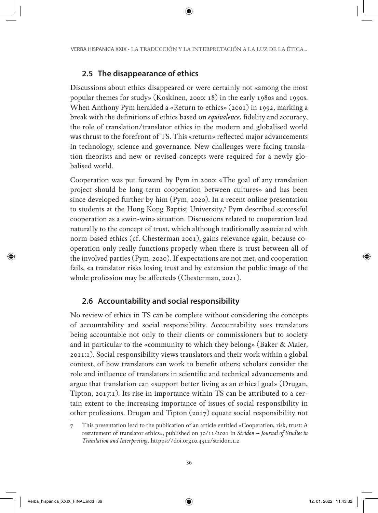## **2.5 The disappearance of ethics**

Discussions about ethics disappeared or were certainly not «among the most popular themes for study» (Koskinen, 2000: 18) in the early 1980s and 1990s. When Anthony Pym heralded a «Return to ethics» (2001) in 1992, marking a break with the definitions of ethics based on *equivalence*, fidelity and accuracy, the role of translation/translator ethics in the modern and globalised world was thrust to the forefront of TS. This «return» reflected major advancements in technology, science and governance. New challenges were facing translation theorists and new or revised concepts were required for a newly globalised world.

Cooperation was put forward by Pym in 2000: «The goal of any translation project should be long-term cooperation between cultures» and has been since developed further by him (Pym, 2020). In a recent online presentation to students at the Hong Kong Baptist University,7 Pym described successful cooperation as a «win-win» situation. Discussions related to cooperation lead naturally to the concept of trust, which although traditionally associated with norm-based ethics (cf. Chesterman 2001), gains relevance again, because cooperation only really functions properly when there is trust between all of the involved parties (Pym, 2020). If expectations are not met, and cooperation fails, «a translator risks losing trust and by extension the public image of the whole profession may be affected» (Chesterman, 2021).

# **2.6 Accountability and social responsibility**

No review of ethics in TS can be complete without considering the concepts of accountability and social responsibility. Accountability sees translators being accountable not only to their clients or commissioners but to society and in particular to the «community to which they belong» (Baker & Maier, 2011:1). Social responsibility views translators and their work within a global context, of how translators can work to benefit others; scholars consider the role and influence of translators in scientific and technical advancements and argue that translation can «support better living as an ethical goal» (Drugan, Tipton, 2017:1). Its rise in importance within TS can be attributed to a certain extent to the increasing importance of issues of social responsibility in other professions. Drugan and Tipton (2017) equate social responsibility not

<sup>7</sup> This presentation lead to the publication of an article entitled «Cooperation, risk, trust: A restatement of translator ethics», published on 30/11/2021 in *Stridon – Journal of Studies in Translation and Interpreting*, httpps://doi.org10.4312/stridon.1.2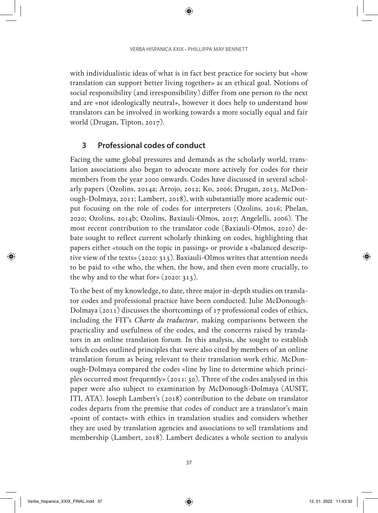with individualistic ideas of what is in fact best practice for society but «how translation can support better living together» as an ethical goal. Notions of social responsibility (and irresponsibility) differ from one person to the next and are «not ideologically neutral», however it does help to understand how translators can be involved in working towards a more socially equal and fair world (Drugan, Tipton, 2017).

#### **3 Professional codes of conduct**

Facing the same global pressures and demands as the scholarly world, translation associations also began to advocate more actively for codes for their members from the year 2000 onwards. Codes have discussed in several scholarly papers (Ozolins, 2014a; Arrojo, 2012; Ko, 2006; Drugan, 2013, McDonough-Dolmaya, 2011; Lambert, 2018), with substantially more academic output focusing on the role of codes for interpreters (Ozolins, 2016; Phelan, 2020; Ozolins, 2014b; Ozolins, Baxiauli-Olmos, 2017; Angelelli, 2006). The most recent contribution to the translator code (Baxiauli-Olmos, 2020) debate sought to reflect current scholarly thinking on codes, highlighting that papers either «touch on the topic in passing» or provide a «balanced descriptive view of the texts» (2020: 313). Baxiauli-Olmos writes that attention needs to be paid to «the who, the when, the how, and then even more crucially, to the why and to the what for» (2020: 313).

To the best of my knowledge, to date, three major in-depth studies on translator codes and professional practice have been conducted. Julie McDonough-Dolmaya (2011) discusses the shortcomings of 17 professional codes of ethics, including the FIT's *Charte du traducteur*, making comparisons between the practicality and usefulness of the codes, and the concerns raised by translators in an online translation forum. In this analysis, she sought to establish which codes outlined principles that were also cited by members of an online translation forum as being relevant to their translation work ethic. McDonough-Dolmaya compared the codes «line by line to determine which principles occurred most frequently» (2011: 30). Three of the codes analysed in this paper were also subject to examination by McDonough-Dolmaya (AUSIT, ITI, ATA). Joseph Lambert's (2018) contribution to the debate on translator codes departs from the premise that codes of conduct are a translator's main «point of contact» with ethics in translation studies and considers whether they are used by translation agencies and associations to sell translations and membership (Lambert, 2018). Lambert dedicates a whole section to analysis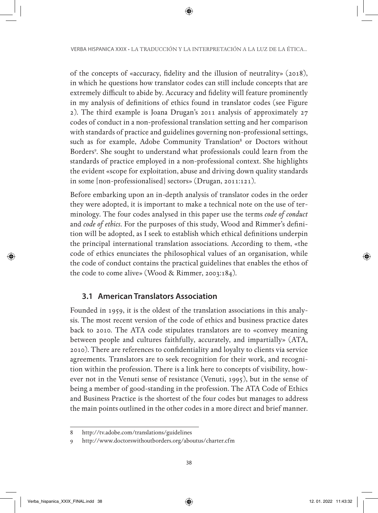of the concepts of «accuracy, fidelity and the illusion of neutrality» (2018), in which he questions how translator codes can still include concepts that are extremely difficult to abide by. Accuracy and fidelity will feature prominently in my analysis of definitions of ethics found in translator codes (see Figure 2). The third example is Joana Drugan's 2011 analysis of approximately 27 codes of conduct in a non-professional translation setting and her comparison with standards of practice and guidelines governing non-professional settings, such as for example, Adobe Community Translation<sup>8</sup> or Doctors without Borders9 . She sought to understand what professionals could learn from the standards of practice employed in a non-professional context. She highlights the evident «scope for exploitation, abuse and driving down quality standards in some [non-professionalised] sectors» (Drugan, 2011:121).

Before embarking upon an in-depth analysis of translator codes in the order they were adopted, it is important to make a technical note on the use of terminology. The four codes analysed in this paper use the terms *code of conduct* and *code of ethics*. For the purposes of this study, Wood and Rimmer's definition will be adopted, as I seek to establish which ethical definitions underpin the principal international translation associations. According to them, «the code of ethics enunciates the philosophical values of an organisation, while the code of conduct contains the practical guidelines that enables the ethos of the code to come alive» (Wood & Rimmer, 2003:184).

# **3.1 American Translators Association**

Founded in 1959, it is the oldest of the translation associations in this analysis. The most recent version of the code of ethics and business practice dates back to 2010. The ATA code stipulates translators are to «convey meaning between people and cultures faithfully, accurately, and impartially» (ATA, 2010). There are references to confidentiality and loyalty to clients via service agreements. Translators are to seek recognition for their work, and recognition within the profession. There is a link here to concepts of visibility, however not in the Venuti sense of resistance (Venuti, 1995), but in the sense of being a member of good-standing in the profession. The ATA Code of Ethics and Business Practice is the shortest of the four codes but manages to address the main points outlined in the other codes in a more direct and brief manner.

<sup>8</sup> http://tv.adobe.com/translations/guidelines

<sup>9</sup> http://www.doctorswithoutborders.org/aboutus/charter.cfm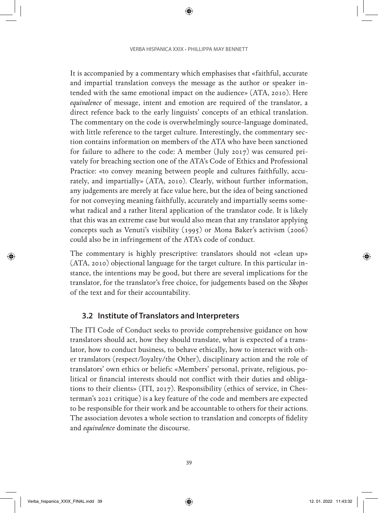It is accompanied by a commentary which emphasises that «faithful, accurate and impartial translation conveys the message as the author or speaker intended with the same emotional impact on the audience» (ATA, 2010). Here *equivalence* of message, intent and emotion are required of the translator, a direct refence back to the early linguists' concepts of an ethical translation. The commentary on the code is overwhelmingly source-language dominated, with little reference to the target culture. Interestingly, the commentary section contains information on members of the ATA who have been sanctioned for failure to adhere to the code: A member (July 2017) was censured privately for breaching section one of the ATA's Code of Ethics and Professional Practice: «to convey meaning between people and cultures faithfully, accurately, and impartially» (ATA, 2010). Clearly, without further information, any judgements are merely at face value here, but the idea of being sanctioned for not conveying meaning faithfully, accurately and impartially seems somewhat radical and a rather literal application of the translator code. It is likely that this was an extreme case but would also mean that any translator applying concepts such as Venuti's visibility (1995) or Mona Baker's activism (2006) could also be in infringement of the ATA's code of conduct.

The commentary is highly prescriptive: translators should not «clean up» (ATA, 2010) objectional language for the target culture. In this particular instance, the intentions may be good, but there are several implications for the translator, for the translator's free choice, for judgements based on the *Skopos* of the text and for their accountability.

#### **3.2 Institute of Translators and Interpreters**

The ITI Code of Conduct seeks to provide comprehensive guidance on how translators should act, how they should translate, what is expected of a translator, how to conduct business, to behave ethically, how to interact with other translators (respect/loyalty/the Other), disciplinary action and the role of translators' own ethics or beliefs: «Members' personal, private, religious, political or financial interests should not conflict with their duties and obligations to their clients» (ITI, 2017). Responsibility (ethics of service, in Chesterman's 2021 critique) is a key feature of the code and members are expected to be responsible for their work and be accountable to others for their actions. The association devotes a whole section to translation and concepts of fidelity and *equivalence* dominate the discourse.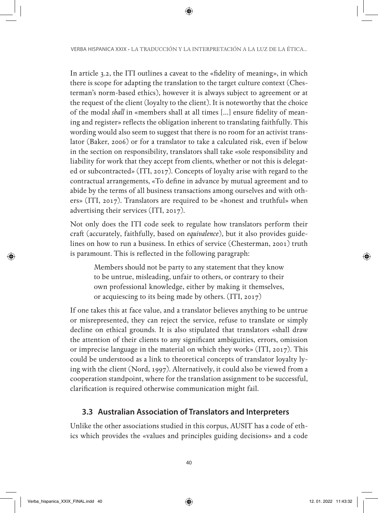In article 3.2, the ITI outlines a caveat to the «fidelity of meaning», in which there is scope for adapting the translation to the target culture context (Chesterman's norm-based ethics), however it is always subject to agreement or at the request of the client (loyalty to the client). It is noteworthy that the choice of the modal *shall* in «members shall at all times […] ensure fidelity of meaning and register» reflects the obligation inherent to translating faithfully. This wording would also seem to suggest that there is no room for an activist translator (Baker, 2006) or for a translator to take a calculated risk, even if below in the section on responsibility, translators shall take «sole responsibility and liability for work that they accept from clients, whether or not this is delegated or subcontracted» (ITI, 2017). Concepts of loyalty arise with regard to the contractual arrangements, «To define in advance by mutual agreement and to abide by the terms of all business transactions among ourselves and with others» (ITI, 2017). Translators are required to be «honest and truthful» when advertising their services (ITI, 2017).

Not only does the ITI code seek to regulate how translators perform their craft (accurately, faithfully, based on *equivalence*), but it also provides guidelines on how to run a business. In ethics of service (Chesterman, 2001) truth is paramount. This is reflected in the following paragraph:

Members should not be party to any statement that they know to be untrue, misleading, unfair to others, or contrary to their own professional knowledge, either by making it themselves, or acquiescing to its being made by others. (ITI, 2017)

If one takes this at face value, and a translator believes anything to be untrue or misrepresented, they can reject the service, refuse to translate or simply decline on ethical grounds. It is also stipulated that translators «shall draw the attention of their clients to any significant ambiguities, errors, omission or imprecise language in the material on which they work» (ITI, 2017). This could be understood as a link to theoretical concepts of translator loyalty lying with the client (Nord, 1997). Alternatively, it could also be viewed from a cooperation standpoint, where for the translation assignment to be successful, clarification is required otherwise communication might fail.

# **3.3 Australian Association of Translators and Interpreters**

Unlike the other associations studied in this corpus, AUSIT has a code of ethics which provides the «values and principles guiding decisions» and a code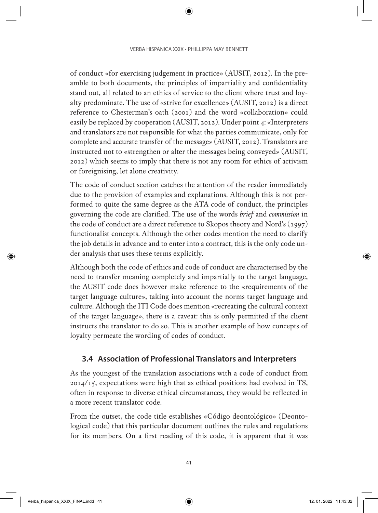of conduct «for exercising judgement in practice» (AUSIT, 2012). In the preamble to both documents, the principles of impartiality and confidentiality stand out, all related to an ethics of service to the client where trust and loyalty predominate. The use of «strive for excellence» (AUSIT, 2012) is a direct reference to Chesterman's oath (2001) and the word «collaboration» could easily be replaced by cooperation (AUSIT, 2012). Under point 4: «Interpreters and translators are not responsible for what the parties communicate, only for complete and accurate transfer of the message» (AUSIT, 2012). Translators are instructed not to «strengthen or alter the messages being conveyed» (AUSIT, 2012) which seems to imply that there is not any room for ethics of activism or foreignising, let alone creativity.

The code of conduct section catches the attention of the reader immediately due to the provision of examples and explanations. Although this is not performed to quite the same degree as the ATA code of conduct, the principles governing the code are clarified. The use of the words *brief* and *commission* in the code of conduct are a direct reference to Skopos theory and Nord's (1997) functionalist concepts. Although the other codes mention the need to clarify the job details in advance and to enter into a contract, this is the only code under analysis that uses these terms explicitly.

Although both the code of ethics and code of conduct are characterised by the need to transfer meaning completely and impartially to the target language, the AUSIT code does however make reference to the «requirements of the target language culture», taking into account the norms target language and culture. Although the ITI Code does mention «recreating the cultural context of the target language», there is a caveat: this is only permitted if the client instructs the translator to do so. This is another example of how concepts of loyalty permeate the wording of codes of conduct.

#### **3.4 Association of Professional Translators and Interpreters**

As the youngest of the translation associations with a code of conduct from 2014/15, expectations were high that as ethical positions had evolved in TS, often in response to diverse ethical circumstances, they would be reflected in a more recent translator code.

From the outset, the code title establishes «Código deontológico» (Deontological code) that this particular document outlines the rules and regulations for its members. On a first reading of this code, it is apparent that it was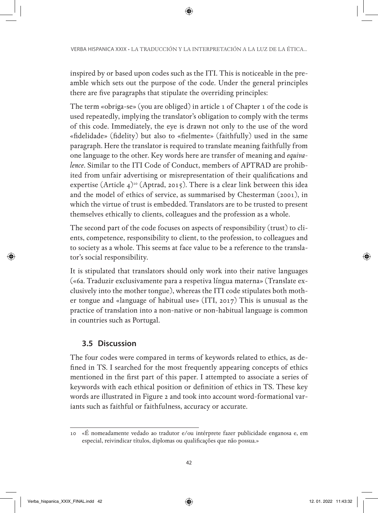inspired by or based upon codes such as the ITI. This is noticeable in the preamble which sets out the purpose of the code. Under the general principles there are five paragraphs that stipulate the overriding principles:

The term «obriga-se» (you are obliged) in article 1 of Chapter 1 of the code is used repeatedly, implying the translator's obligation to comply with the terms of this code. Immediately, the eye is drawn not only to the use of the word «fidelidade» (fidelity) but also to «fielmente» (faithfully) used in the same paragraph. Here the translator is required to translate meaning faithfully from one language to the other. Key words here are transfer of meaning and *equivalence*. Similar to the ITI Code of Conduct, members of APTRAD are prohibited from unfair advertising or misrepresentation of their qualifications and expertise (Article  $4^{10}$  (Aptrad, 2015). There is a clear link between this idea and the model of ethics of service, as summarised by Chesterman (2001), in which the virtue of trust is embedded. Translators are to be trusted to present themselves ethically to clients, colleagues and the profession as a whole.

The second part of the code focuses on aspects of responsibility (trust) to clients, competence, responsibility to client, to the profession, to colleagues and to society as a whole. This seems at face value to be a reference to the translator's social responsibility.

It is stipulated that translators should only work into their native languages («6a. Traduzir exclusivamente para a respetiva língua materna» (Translate exclusively into the mother tongue), whereas the ITI code stipulates both mother tongue and «language of habitual use» (ITI, 2017) This is unusual as the practice of translation into a non-native or non-habitual language is common in countries such as Portugal.

# **3.5 Discussion**

The four codes were compared in terms of keywords related to ethics, as defined in TS. I searched for the most frequently appearing concepts of ethics mentioned in the first part of this paper. I attempted to associate a series of keywords with each ethical position or definition of ethics in TS. These key words are illustrated in Figure 2 and took into account word-formational variants such as faithful or faithfulness, accuracy or accurate.

<sup>10</sup> «É nomeadamente vedado ao tradutor e/ou intérprete fazer publicidade enganosa e, em especial, reivindicar títulos, diplomas ou qualificações que não possua.»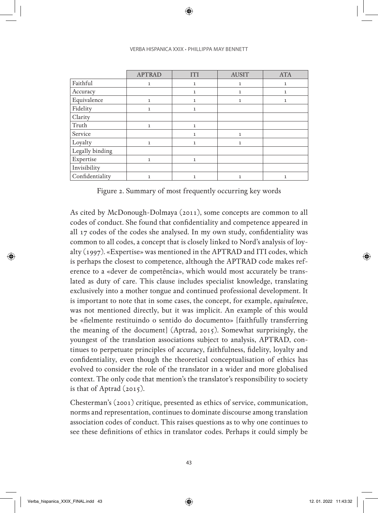|                 | <b>APTRAD</b> | <b>ITI</b>   | <b>AUSIT</b> | <b>ATA</b>   |
|-----------------|---------------|--------------|--------------|--------------|
| Faithful        | $\mathbf{1}$  | $\mathbf{1}$ | $\mathbf 1$  | $\mathbf{1}$ |
| Accuracy        |               | $\mathbf{1}$ | 1            | 1            |
| Equivalence     | $\mathbf{1}$  | 1            | $\mathbf{1}$ | $\mathbf{1}$ |
| Fidelity        | 1             | 1            |              |              |
| Clarity         |               |              |              |              |
| Truth           | $\mathbf{1}$  |              |              |              |
| Service         |               | $\mathbf{1}$ | $\mathbf{1}$ |              |
| Loyalty         | $\,1$         | 1            | 1            |              |
| Legally binding |               |              |              |              |
| Expertise       | $\mathbf{1}$  |              |              |              |
| Invisibility    |               |              |              |              |
| Confidentiality | $\mathbf{1}$  | 1            | $\mathbf{1}$ | 1            |

Figure 2. Summary of most frequently occurring key words

As cited by McDonough-Dolmaya (2011), some concepts are common to all codes of conduct. She found that confidentiality and competence appeared in all 17 codes of the codes she analysed. In my own study, confidentiality was common to all codes, a concept that is closely linked to Nord's analysis of loyalty (1997). «Expertise» was mentioned in the APTRAD and ITI codes, which is perhaps the closest to competence, although the APTRAD code makes reference to a «dever de competência», which would most accurately be translated as duty of care. This clause includes specialist knowledge, translating exclusively into a mother tongue and continued professional development. It is important to note that in some cases, the concept, for example, *equivalenc*e, was not mentioned directly, but it was implicit. An example of this would be «fielmente restituindo o sentido do documento» [faithfully transferring the meaning of the document] (Aptrad, 2015). Somewhat surprisingly, the youngest of the translation associations subject to analysis, APTRAD, continues to perpetuate principles of accuracy, faithfulness, fidelity, loyalty and confidentiality, even though the theoretical conceptualisation of ethics has evolved to consider the role of the translator in a wider and more globalised context. The only code that mention's the translator's responsibility to society is that of Aptrad (2015).

Chesterman's (2001) critique, presented as ethics of service, communication, norms and representation, continues to dominate discourse among translation association codes of conduct. This raises questions as to why one continues to see these definitions of ethics in translator codes. Perhaps it could simply be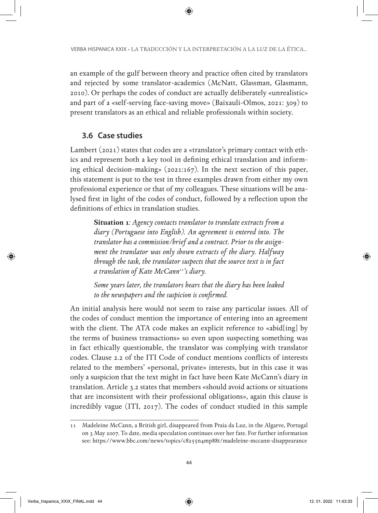an example of the gulf between theory and practice often cited by translators and rejected by some translator-academics (McNatt, Glassman, Glasmann, 2010). Or perhaps the codes of conduct are actually deliberately «unrealistic» and part of a «self-serving face-saving move» (Baixauli-Olmos, 2021: 309) to present translators as an ethical and reliable professionals within society.

# **3.6 Case studies**

Lambert (2021) states that codes are a «translator's primary contact with ethics and represent both a key tool in defining ethical translation and informing ethical decision-making» (2021:167). In the next section of this paper, this statement is put to the test in three examples drawn from either my own professional experience or that of my colleagues. These situations will be analysed first in light of the codes of conduct, followed by a reflection upon the definitions of ethics in translation studies.

**Situation 1***: Agency contacts translator to translate extracts from a diary (Portuguese into English). An agreement is entered into. The translator has a commission/brief and a contract. Prior to the assignment the translator was only shown extracts of the diary. Halfway through the task, the translator suspects that the source text is in fact a translation of Kate McCann11's diary.*

*Some years later, the translators hears that the diary has been leaked to the newspapers and the suspicion is confirmed.*

An initial analysis here would not seem to raise any particular issues. All of the codes of conduct mention the importance of entering into an agreement with the client. The ATA code makes an explicit reference to «abid[ing] by the terms of business transactions» so even upon suspecting something was in fact ethically questionable, the translator was complying with translator codes. Clause 2.2 of the ITI Code of conduct mentions conflicts of interests related to the members' «personal, private» interests, but in this case it was only a suspicion that the text might in fact have been Kate McCann's diary in translation. Article 3.2 states that members «should avoid actions or situations that are inconsistent with their professional obligations», again this clause is incredibly vague (ITI, 2017). The codes of conduct studied in this sample

<sup>11</sup> Madeleine McCann, a British girl, disappeared from Praia da Luz, in the Algarve, Portugal on 3 May 2007. To date, media speculation continues over her fate. For further information see: <https://www.bbc.com/news/topics/c8255n4mp88t/madeleine-mccann-disappearance>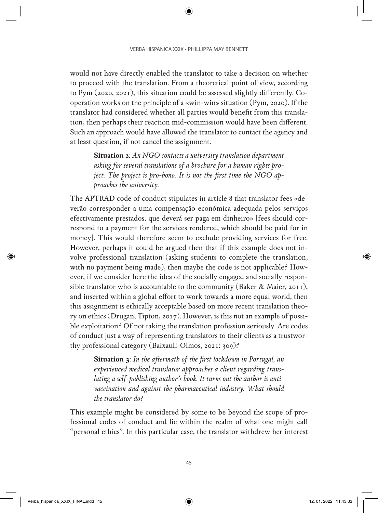would not have directly enabled the translator to take a decision on whether to proceed with the translation. From a theoretical point of view, according to Pym (2020, 2021), this situation could be assessed slightly differently. Cooperation works on the principle of a «win-win» situation (Pym, 2020). If the translator had considered whether all parties would benefit from this translation, then perhaps their reaction mid-commission would have been different. Such an approach would have allowed the translator to contact the agency and at least question, if not cancel the assignment.

**Situation 2***: An NGO contacts a university translation department asking for several translations of a brochure for a human rights project. The project is pro-bono. It is not the first time the NGO approaches the university.*

The APTRAD code of conduct stipulates in article 8 that translator fees «deverão corresponder a uma compensação económica adequada pelos serviços efectivamente prestados, que deverá ser paga em dinheiro» [fees should correspond to a payment for the services rendered, which should be paid for in money]. This would therefore seem to exclude providing services for free. However, perhaps it could be argued then that if this example does not involve professional translation (asking students to complete the translation, with no payment being made), then maybe the code is not applicable? However, if we consider here the idea of the socially engaged and socially responsible translator who is accountable to the community (Baker & Maier, 2011), and inserted within a global effort to work towards a more equal world, then this assignment is ethically acceptable based on more recent translation theory on ethics (Drugan, Tipton, 2017). However, is this not an example of possible exploitation? Of not taking the translation profession seriously. Are codes of conduct just a way of representing translators to their clients as a trustworthy professional category (Baixauli-Olmos, 2021: 309)?

**Situation 3**: *In the aftermath of the first lockdown in Portugal, an experienced medical translator approaches a client regarding translating a self-publishing author's book. It turns out the author is antivaccination and against the pharmaceutical industry. What should the translator do?*

This example might be considered by some to be beyond the scope of professional codes of conduct and lie within the realm of what one might call "personal ethics". In this particular case, the translator withdrew her interest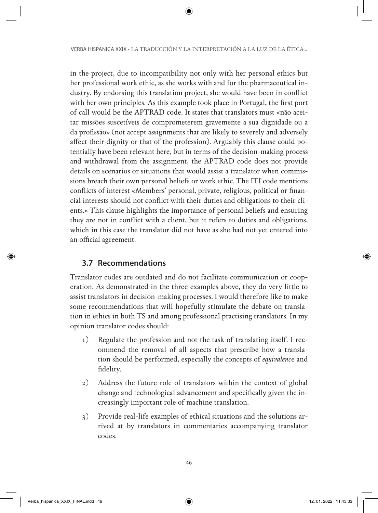in the project, due to incompatibility not only with her personal ethics but her professional work ethic, as she works with and for the pharmaceutical industry. By endorsing this translation project, she would have been in conflict with her own principles. As this example took place in Portugal, the first port of call would be the APTRAD code. It states that translators must «não aceitar missões suscetíveis de comprometerem gravemente a sua dignidade ou a da profissão» (not accept assignments that are likely to severely and adversely affect their dignity or that of the profession). Arguably this clause could potentially have been relevant here, but in terms of the decision-making process and withdrawal from the assignment, the APTRAD code does not provide details on scenarios or situations that would assist a translator when commissions breach their own personal beliefs or work ethic. The ITI code mentions conflicts of interest «Members' personal, private, religious, political or financial interests should not conflict with their duties and obligations to their clients.» This clause highlights the importance of personal beliefs and ensuring they are not in conflict with a client, but it refers to duties and obligations, which in this case the translator did not have as she had not yet entered into an official agreement.

# **3.7 Recommendations**

Translator codes are outdated and do not facilitate communication or cooperation. As demonstrated in the three examples above, they do very little to assist translators in decision-making processes. I would therefore like to make some recommendations that will hopefully stimulate the debate on translation in ethics in both TS and among professional practising translators. In my opinion translator codes should:

- 1) Regulate the profession and not the task of translating itself. I recommend the removal of all aspects that prescribe how a translation should be performed, especially the concepts of *equivalenc*e and fidelity.
- 2) Address the future role of translators within the context of global change and technological advancement and specifically given the increasingly important role of machine translation.
- 3) Provide real-life examples of ethical situations and the solutions arrived at by translators in commentaries accompanying translator codes.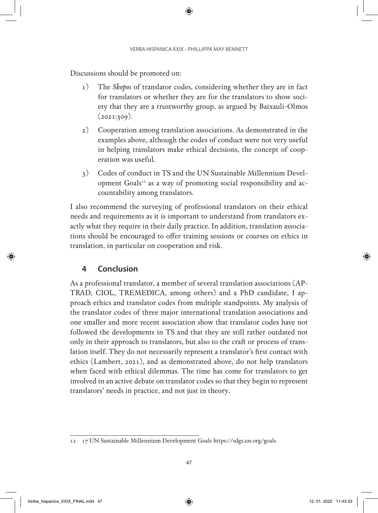Discussions should be promoted on:

- 1) The *Skopos* of translator codes, considering whether they are in fact for translators or whether they are for the translators to show society that they are a trustworthy group, as argued by Baixauli-Olmos  $(2021:309)$ .
- 2) Cooperation among translation associations. As demonstrated in the examples above, although the codes of conduct were not very useful in helping translators make ethical decisions, the concept of cooperation was useful.
- 3) Codes of conduct in TS and the UN Sustainable Millennium Development Goals<sup>12</sup> as a way of promoting social responsibility and accountability among translators.

I also recommend the surveying of professional translators on their ethical needs and requirements as it is important to understand from translators exactly what they require in their daily practice. In addition, translation associations should be encouraged to offer training sessions or courses on ethics in translation, in particular on cooperation and risk.

# **4 Conclusion**

As a professional translator, a member of several translation associations (AP-TRAD, CIOL, TREMEDICA, among others) and a PhD candidate, I approach ethics and translator codes from multiple standpoints. My analysis of the translator codes of three major international translation associations and one smaller and more recent association show that translator codes have not followed the developments in TS and that they are still rather outdated not only in their approach to translators, but also to the craft or process of translation itself. They do not necessarily represent a translator's first contact with ethics (Lambert, 2021), and as demonstrated above, do not help translators when faced with ethical dilemmas. The time has come for translators to get involved in an active debate on translator codes so that they begin to represent translators' needs in practice, and not just in theory.

<sup>12</sup> 17 UN Sustainable Millennium Development Goals <https://sdgs.un.org/goals>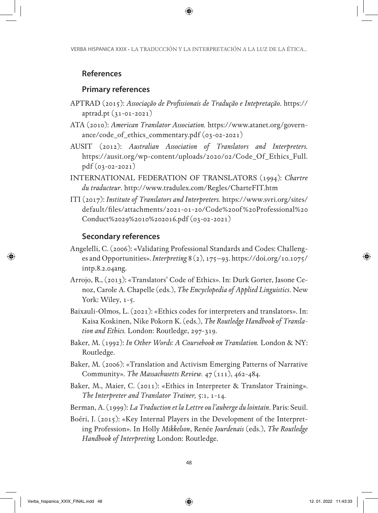### **References**

#### **Primary references**

- APTRAD (2015): *Associação de Profissionais de Tradução e Intepretação*. [https://](https://aptrad.pt) [aptrad.pt](https://aptrad.pt) (31-01-2021)
- ATA (2010): *American Translator Association.* https://www.atanet.org/governance/code\_of\_ethics\_commentary.pdf (03-02-2021)
- AUSIT (2012): *Australian Association of Translators and Interpreters.* https://ausit.org/wp-content/uploads/2020/02/Code\_Of\_Ethics\_Full. pdf (03-02-2021)
- INTERNATIONAL FEDERATION OF TRANSLATORS (1994): *Chartre du traducteur*.<http://www.tradulex.com/Regles/CharteFIT.htm>
- ITI (2017): *Institute of Translators and Interpreters.* https://www.svri.org/sites/ default/files/attachments/2021-01-20/Code%20of%20Professional%20 Conduct%2029%2010%202016.pdf (03-02-2021)

## **Secondary references**

- Angelelli, C. (2006): «Validating Professional Standards and Codes: Challenges and Opportunities». *Interpreting* 8 (2), 175–93. [https://doi.org/10.1075/](https://doi.org/10.1075/intp.8.2.04ang) [intp.8.2.04ang.](https://doi.org/10.1075/intp.8.2.04ang)
- Arrojo, R., (2013): «Translators' Code of Ethics». In: Durk Gorter, Jasone Cenoz, Carole A. Chapelle (eds.), *The Encyclopedia of Applied Linguistics*. New York: Wiley, 1-5.
- Baixauli-Olmos, L. (2021): «Ethics codes for interpreters and translators». In: Kaisa Koskinen, Nike Pokorn K.(eds.), *The Routledge Handbook of Translation and Ethics.* London: Routledge, 297-319.
- Baker, M. (1992): *In Other Words: A Coursebook on Translation.* London & NY: Routledge.
- Baker, M. (2006): «Translation and Activism Emerging Patterns of Narrative Community». *The Massachusetts Review.* 47 (111), 462-484.
- Baker, M., Maier, C. (2011): «Ethics in Interpreter & Translator Training». *The Interpreter and Translator Trainer,* 5:1, 1-14.
- Berman, A. (1999): *La Traduction et la Lettre ou l'auberge du lointain*. Paris: Seuil.
- Boéri, J. (2015): «Key Internal Players in the Development of the Interpreting Profession». In Holly *Mikkelson*, Renée *Jourdenais* (eds.), *The Routledge Handbook of Interpreting* London: Routledge.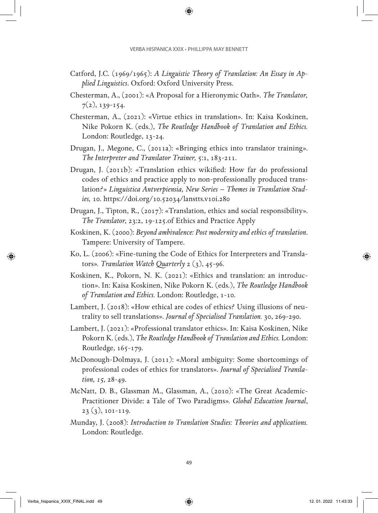- Catford, J.C. (1969/1965): *A Linguistic Theory of Translation: An Essay in Applied Linguistics*. Oxford: Oxford University Press.
- Chesterman, A., (2001): «A Proposal for a Hieronymic Oath». *The Translator,*   $7(2)$ , 139-154.
- Chesterman, A., (2021): «Virtue ethics in translation». In: Kaisa Koskinen, Nike Pokorn K. (eds.), *The Routledge Handbook of Translation and Ethics.*  London: Routledge, 13-24.
- Drugan, J., Megone, C., (2011a): «Bringing ethics into translator training». *The Interpreter and Translator Trainer,* 5:1, 183-211.
- Drugan, J. (2011b): «Translation ethics wikified: How far do professional codes of ethics and practice apply to non-professionally produced translation?» *Linguistica Antverpiensia, New Series – Themes in Translation Studies,* 10. https://doi.org/10.52034/lanstts.v10i.280
- Drugan, J., Tipton, R., (2017): «Translation, ethics and social responsibility». *The Translator,* 23:2, 19-125.of Ethics and Practice Apply
- Koskinen, K. (2000): *Beyond ambivalence: Post modernity and ethics of translation*. Tampere: University of Tampere.
- Ko, L. (2006): «Fine-tuning the Code of Ethics for Interpreters and Translators»*. Translation Watch Quarterly* 2 (3), 45-96.
- Koskinen, K., Pokorn, N. K. (2021): «Ethics and translation: an introduction». In: Kaisa Koskinen, Nike Pokorn K. (eds.), *The Routledge Handbook of Translation and Ethics.* London: Routledge, 1-10.
- Lambert, J. (2018): «How ethical are codes of ethics? Using illusions of neutrality to sell translations». *Journal of Specialised Translation.* 30, 269-290.
- Lambert, J. (2021): «Professional translator ethics». In: Kaisa Koskinen, Nike Pokorn K.(eds.), *The Routledge Handbook of Translation and Ethics.* London: Routledge, 165-179.
- McDonough-Dolmaya, J. (2011): «Moral ambiguity: Some shortcomings of professional codes of ethics for translators». *Journal of Specialised Translation, 15,* 28-49.
- McNatt, D. B., Glassman M., Glassman, A., (2010): «The Great Academic-Practitioner Divide: a Tale of Two Paradigms»*. Global Education Journal*,  $23\ (3), 101-119.$
- Munday, J. (2008): *Introduction to Translation Studies: Theories and applications.*  London: Routledge.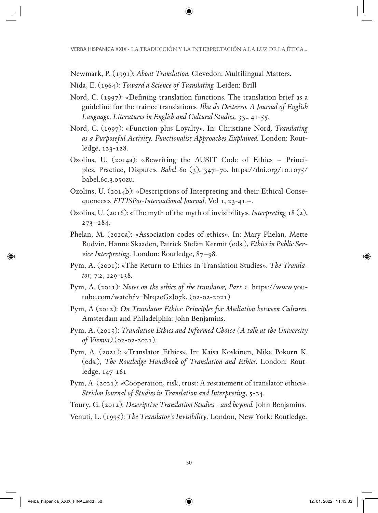Newmark, P. (1991): *About Translation.* Clevedon: Multilingual Matters.

- Nida, E. (1964): *Toward a Science of Translating.* Leiden: Brill
- Nord, C. (1997): «Defining translation functions. The translation brief as a guideline for the trainee translation». *Ilha do Desterro. A Journal of English Language, Literatures in English and Cultural Studies,* 33., 41-55.
- Nord, C. (1997): «Function plus Loyalty». In: Christiane Nord*, Translating as a Purposeful Activity. Functionalist Approaches Explained.* London: Routledge, 123-128.
- Ozolins, U. (2014a): «Rewriting the AUSIT Code of Ethics Principles, Practice, Dispute». *Babel* 60 (3), 347–70. [https://doi.org/10.1075/](https://doi.org/10.1075/babel.60.3.05ozu) [babel.60.3.05ozu.](https://doi.org/10.1075/babel.60.3.05ozu)
- Ozolins, U. (2014b): «Descriptions of Interpreting and their Ethical Consequences». *FITISPos-International Journal,* Vol 1, 23-41.–.
- Ozolins, U. (2016): «The myth of the myth of invisibility». *Interpreting* 18 (2), 273–284.
- Phelan, M. (2020a): «Association codes of ethics». In: Mary Phelan, Mette Rudvin, Hanne Skaaden, Patrick Stefan Kermit (eds.), *Ethics in Public Service Interpreting*. London: Routledge, 87–98.
- Pym, A. (2001): «The Return to Ethics in Translation Studies». *The Translator,* 7:2, 129-138.
- Pym, A. (2011): *Notes on the ethics of the translator, Part 1.* https://www.youtube.com/watch?v=Nrq2eGzJ07k, (02-02-2021)
- Pym, A (2012): *On Translator Ethics: Principles for Mediation between Cultures.*  Amsterdam and Philadelphia: John Benjamins.
- Pym, A. (2015): *Translation Ethics and Informed Choice (A talk at the University of Vienna).*(02-02-2021).
- Pym, A. (2021): «Translator Ethics». In: Kaisa Koskinen, Nike Pokorn K. (eds.), *The Routledge Handbook of Translation and Ethics.* London: Routledge, 147-161
- Pym, A. (2021): «Cooperation, risk, trust: A restatement of translator ethics». *Stridon Journal of Studies in Translation and Interpreting*, 5-24.
- Toury, G. (2012): *Descriptive Translation Studies and beyond.* John Benjamins.
- Venuti, L. (1995): *The Translator's Invisibility*. London, New York: Routledge.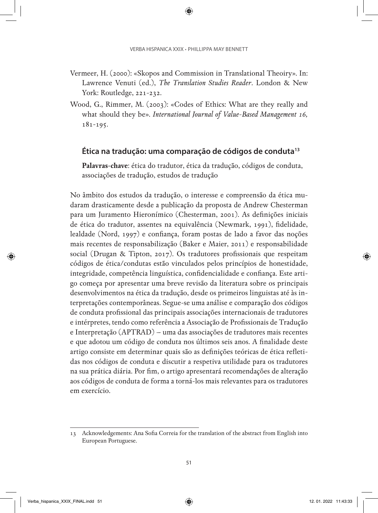- Vermeer, H. (2000): «Skopos and Commission in Translational Theoiry». In: Lawrence Venuti (ed.), *The Translation Studies Reader*. London & New York: Routledge, 221-232.
- Wood, G., Rimmer, M. (2003): «Codes of Ethics: What are they really and what should they be». *International Journal of Value-Based Management 16,*  181-195.

#### **Ética na tradução: uma comparação de códigos de conduta13**

**Palavras-chave**: ética do tradutor, ética da tradução, códigos de conduta, associações de tradução, estudos de tradução

No âmbito dos estudos da tradução, o interesse e compreensão da ética mudaram drasticamente desde a publicação da proposta de Andrew Chesterman para um Juramento Hieronímico (Chesterman, 2001). As definições iniciais de ética do tradutor, assentes na equivalência (Newmark, 1991), fidelidade, lealdade (Nord, 1997) e confiança, foram postas de lado a favor das noções mais recentes de responsabilização (Baker e Maier, 2011) e responsabilidade social (Drugan & Tipton, 2017). Os tradutores profissionais que respeitam códigos de ética/condutas estão vinculados pelos princípios de honestidade, integridade, competência linguística, confidencialidade e confiança. Este artigo começa por apresentar uma breve revisão da literatura sobre os principais desenvolvimentos na ética da tradução, desde os primeiros linguistas até às interpretações contemporâneas. Segue-se uma análise e comparação dos códigos de conduta profissional das principais associações internacionais de tradutores e intérpretes, tendo como referência a Associação de Profissionais de Tradução e Interpretação (APTRAD) – uma das associações de tradutores mais recentes e que adotou um código de conduta nos últimos seis anos. A finalidade deste artigo consiste em determinar quais são as definições teóricas de ética refletidas nos códigos de conduta e discutir a respetiva utilidade para os tradutores na sua prática diária. Por fim, o artigo apresentará recomendações de alteração aos códigos de conduta de forma a torná-los mais relevantes para os tradutores em exercício.

<sup>13</sup> Acknowledgements: Ana Sofia Correia for the translation of the abstract from English into European Portuguese.